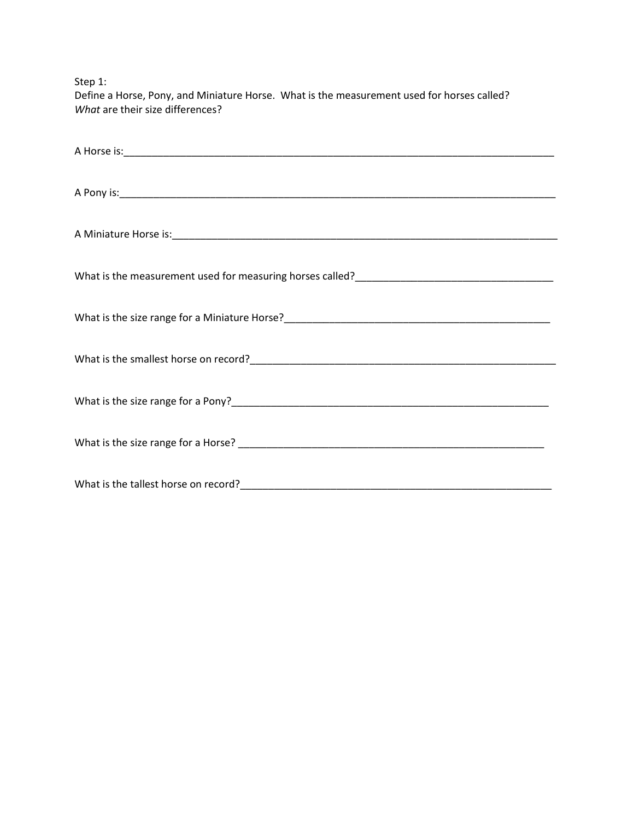Step 1:

Define a Horse, Pony, and Miniature Horse. What is the measurement used for horses called? *What* are their size differences?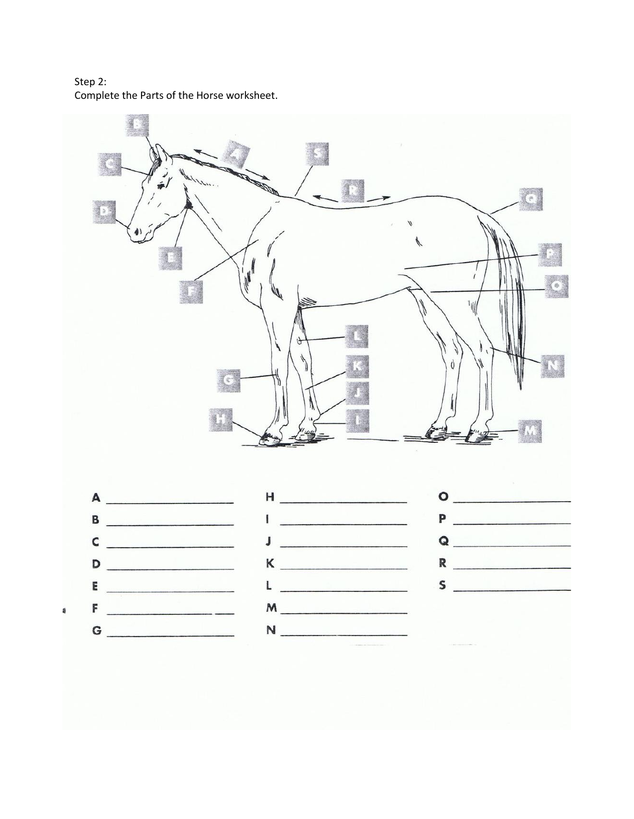Step 2: Complete the Parts of the Horse worksheet.

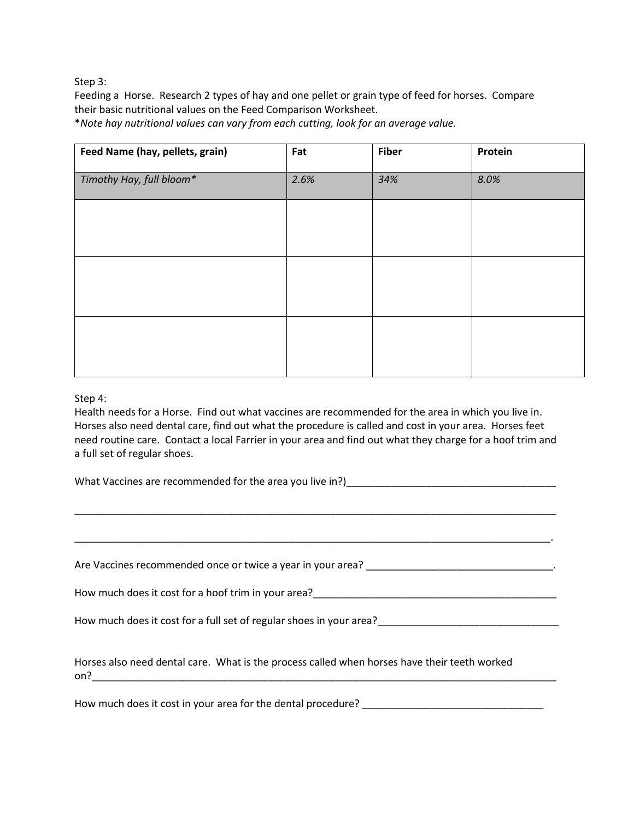Step 3:

Feeding a Horse. Research 2 types of hay and one pellet or grain type of feed for horses. Compare their basic nutritional values on the Feed Comparison Worksheet.

\**Note hay nutritional values can vary from each cutting, look for an average value.*

| Feed Name (hay, pellets, grain) | Fat  | <b>Fiber</b> | Protein |
|---------------------------------|------|--------------|---------|
| Timothy Hay, full bloom*        | 2.6% | 34%          | 8.0%    |
|                                 |      |              |         |
|                                 |      |              |         |
|                                 |      |              |         |
|                                 |      |              |         |
|                                 |      |              |         |
|                                 |      |              |         |

## Step 4:

Health needs for a Horse. Find out what vaccines are recommended for the area in which you live in. Horses also need dental care, find out what the procedure is called and cost in your area. Horses feet need routine care. Contact a local Farrier in your area and find out what they charge for a hoof trim and a full set of regular shoes.

What Vaccines are recommended for the area you live in?)\_\_\_\_\_\_\_\_\_\_\_\_\_\_\_\_\_\_\_\_\_\_\_\_\_\_\_\_\_\_\_\_\_\_\_\_\_

\_\_\_\_\_\_\_\_\_\_\_\_\_\_\_\_\_\_\_\_\_\_\_\_\_\_\_\_\_\_\_\_\_\_\_\_\_\_\_\_\_\_\_\_\_\_\_\_\_\_\_\_\_\_\_\_\_\_\_\_\_\_\_\_\_\_\_\_\_\_\_\_\_\_\_\_\_\_\_\_\_\_\_\_\_

| Are Vaccines recommended once or twice a year in your area?                                         |
|-----------------------------------------------------------------------------------------------------|
| How much does it cost for a hoof trim in your area?                                                 |
| How much does it cost for a full set of regular shoes in your area?                                 |
| Horses also need dental care. What is the process called when horses have their teeth worked<br>on? |

How much does it cost in your area for the dental procedure? \_\_\_\_\_\_\_\_\_\_\_\_\_\_\_\_\_\_\_\_\_\_\_\_\_\_\_\_\_\_\_\_